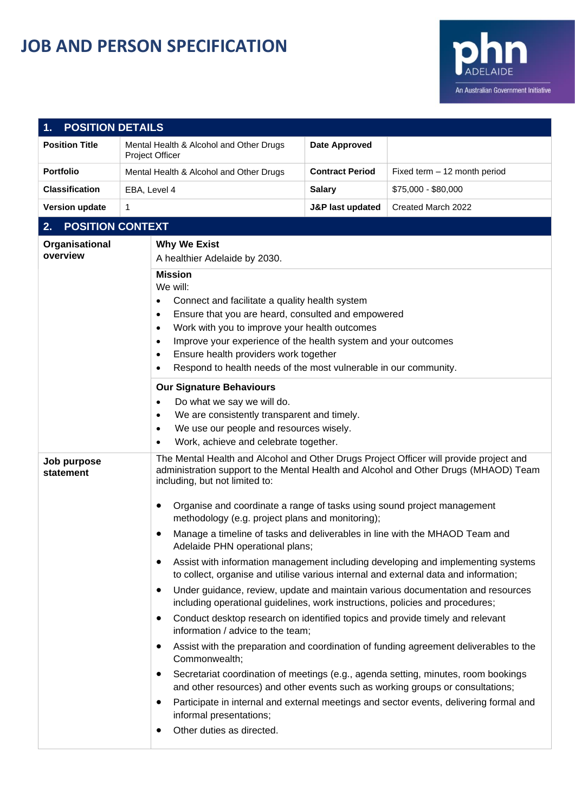## **JOB AND PERSON SPECIFICATION**



| <b>POSITION DETAILS</b>       |                                                                                                                                                                                                                                                                                                                                                                                                                                                                                                                                                                |                                                                                                                                                                                                                                                                                                                                                                                                                                                                                                                                                                                                                                                                                                                                                                                                                                                                                                                                                                                                                                                                                                                                                                                                                                                                  |                              |  |  |  |
|-------------------------------|----------------------------------------------------------------------------------------------------------------------------------------------------------------------------------------------------------------------------------------------------------------------------------------------------------------------------------------------------------------------------------------------------------------------------------------------------------------------------------------------------------------------------------------------------------------|------------------------------------------------------------------------------------------------------------------------------------------------------------------------------------------------------------------------------------------------------------------------------------------------------------------------------------------------------------------------------------------------------------------------------------------------------------------------------------------------------------------------------------------------------------------------------------------------------------------------------------------------------------------------------------------------------------------------------------------------------------------------------------------------------------------------------------------------------------------------------------------------------------------------------------------------------------------------------------------------------------------------------------------------------------------------------------------------------------------------------------------------------------------------------------------------------------------------------------------------------------------|------------------------------|--|--|--|
| <b>Position Title</b>         | Mental Health & Alcohol and Other Drugs<br><b>Project Officer</b>                                                                                                                                                                                                                                                                                                                                                                                                                                                                                              | <b>Date Approved</b>                                                                                                                                                                                                                                                                                                                                                                                                                                                                                                                                                                                                                                                                                                                                                                                                                                                                                                                                                                                                                                                                                                                                                                                                                                             |                              |  |  |  |
| <b>Portfolio</b>              | Mental Health & Alcohol and Other Drugs                                                                                                                                                                                                                                                                                                                                                                                                                                                                                                                        | <b>Contract Period</b>                                                                                                                                                                                                                                                                                                                                                                                                                                                                                                                                                                                                                                                                                                                                                                                                                                                                                                                                                                                                                                                                                                                                                                                                                                           | Fixed term - 12 month period |  |  |  |
| <b>Classification</b>         | EBA, Level 4                                                                                                                                                                                                                                                                                                                                                                                                                                                                                                                                                   | <b>Salary</b>                                                                                                                                                                                                                                                                                                                                                                                                                                                                                                                                                                                                                                                                                                                                                                                                                                                                                                                                                                                                                                                                                                                                                                                                                                                    | \$75,000 - \$80,000          |  |  |  |
| <b>Version update</b><br>1    |                                                                                                                                                                                                                                                                                                                                                                                                                                                                                                                                                                | <b>J&amp;P last updated</b>                                                                                                                                                                                                                                                                                                                                                                                                                                                                                                                                                                                                                                                                                                                                                                                                                                                                                                                                                                                                                                                                                                                                                                                                                                      | Created March 2022           |  |  |  |
| <b>POSITION CONTEXT</b><br>2. |                                                                                                                                                                                                                                                                                                                                                                                                                                                                                                                                                                |                                                                                                                                                                                                                                                                                                                                                                                                                                                                                                                                                                                                                                                                                                                                                                                                                                                                                                                                                                                                                                                                                                                                                                                                                                                                  |                              |  |  |  |
| Organisational<br>overview    | <b>Why We Exist</b><br>A healthier Adelaide by 2030.<br><b>Mission</b><br>We will:<br>Connect and facilitate a quality health system<br>٠<br>Ensure that you are heard, consulted and empowered<br>$\bullet$<br>Work with you to improve your health outcomes<br>$\bullet$<br>Improve your experience of the health system and your outcomes<br>$\bullet$<br>Ensure health providers work together<br>٠<br>Respond to health needs of the most vulnerable in our community.<br>٠<br><b>Our Signature Behaviours</b><br>Do what we say we will do.<br>$\bullet$ |                                                                                                                                                                                                                                                                                                                                                                                                                                                                                                                                                                                                                                                                                                                                                                                                                                                                                                                                                                                                                                                                                                                                                                                                                                                                  |                              |  |  |  |
|                               |                                                                                                                                                                                                                                                                                                                                                                                                                                                                                                                                                                |                                                                                                                                                                                                                                                                                                                                                                                                                                                                                                                                                                                                                                                                                                                                                                                                                                                                                                                                                                                                                                                                                                                                                                                                                                                                  |                              |  |  |  |
| Job purpose<br>statement      | including, but not limited to:<br>$\bullet$<br>٠<br>٠<br>$\bullet$<br>$\bullet$<br>Commonwealth;<br>$\bullet$<br>$\bullet$<br>informal presentations;<br>Other duties as directed.                                                                                                                                                                                                                                                                                                                                                                             | The Mental Health and Alcohol and Other Drugs Project Officer will provide project and<br>administration support to the Mental Health and Alcohol and Other Drugs (MHAOD) Team<br>Organise and coordinate a range of tasks using sound project management<br>methodology (e.g. project plans and monitoring);<br>Manage a timeline of tasks and deliverables in line with the MHAOD Team and<br>Adelaide PHN operational plans;<br>Assist with information management including developing and implementing systems<br>to collect, organise and utilise various internal and external data and information;<br>Under guidance, review, update and maintain various documentation and resources<br>including operational guidelines, work instructions, policies and procedures;<br>Conduct desktop research on identified topics and provide timely and relevant<br>information / advice to the team;<br>Assist with the preparation and coordination of funding agreement deliverables to the<br>Secretariat coordination of meetings (e.g., agenda setting, minutes, room bookings<br>and other resources) and other events such as working groups or consultations;<br>Participate in internal and external meetings and sector events, delivering formal and |                              |  |  |  |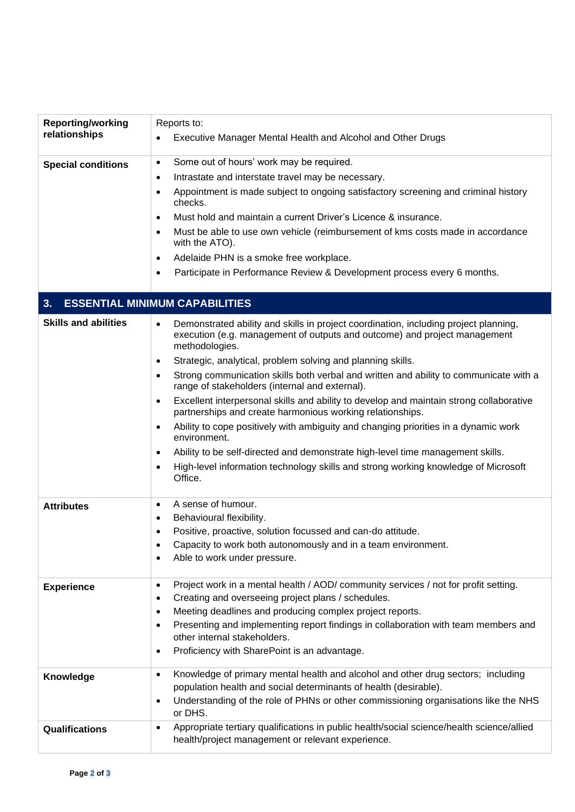| <b>Reporting/working</b>                    | Reports to:                                                                                                                                                                                                                                                                                                                                     |  |  |  |  |
|---------------------------------------------|-------------------------------------------------------------------------------------------------------------------------------------------------------------------------------------------------------------------------------------------------------------------------------------------------------------------------------------------------|--|--|--|--|
| relationships                               | Executive Manager Mental Health and Alcohol and Other Drugs                                                                                                                                                                                                                                                                                     |  |  |  |  |
| <b>Special conditions</b>                   | Some out of hours' work may be required.<br>$\bullet$                                                                                                                                                                                                                                                                                           |  |  |  |  |
|                                             | Intrastate and interstate travel may be necessary.<br>$\bullet$                                                                                                                                                                                                                                                                                 |  |  |  |  |
|                                             | Appointment is made subject to ongoing satisfactory screening and criminal history<br>$\bullet$<br>checks.                                                                                                                                                                                                                                      |  |  |  |  |
|                                             | Must hold and maintain a current Driver's Licence & insurance.<br>$\bullet$                                                                                                                                                                                                                                                                     |  |  |  |  |
|                                             | Must be able to use own vehicle (reimbursement of kms costs made in accordance<br>$\bullet$<br>with the ATO).                                                                                                                                                                                                                                   |  |  |  |  |
|                                             | Adelaide PHN is a smoke free workplace.<br>$\bullet$                                                                                                                                                                                                                                                                                            |  |  |  |  |
|                                             | Participate in Performance Review & Development process every 6 months.<br>$\bullet$                                                                                                                                                                                                                                                            |  |  |  |  |
| <b>ESSENTIAL MINIMUM CAPABILITIES</b><br>3. |                                                                                                                                                                                                                                                                                                                                                 |  |  |  |  |
| <b>Skills and abilities</b>                 | Demonstrated ability and skills in project coordination, including project planning,<br>$\bullet$<br>execution (e.g. management of outputs and outcome) and project management<br>methodologies.<br>Strategic, analytical, problem solving and planning skills.<br>٠                                                                            |  |  |  |  |
|                                             | Strong communication skills both verbal and written and ability to communicate with a<br>$\bullet$<br>range of stakeholders (internal and external).                                                                                                                                                                                            |  |  |  |  |
|                                             | Excellent interpersonal skills and ability to develop and maintain strong collaborative<br>$\bullet$<br>partnerships and create harmonious working relationships.                                                                                                                                                                               |  |  |  |  |
|                                             | Ability to cope positively with ambiguity and changing priorities in a dynamic work<br>٠<br>environment.                                                                                                                                                                                                                                        |  |  |  |  |
|                                             | Ability to be self-directed and demonstrate high-level time management skills.<br>$\bullet$<br>High-level information technology skills and strong working knowledge of Microsoft<br>٠<br>Office.                                                                                                                                               |  |  |  |  |
| <b>Attributes</b>                           | A sense of humour.<br>$\bullet$<br>Behavioural flexibility.                                                                                                                                                                                                                                                                                     |  |  |  |  |
|                                             | ٠<br>Positive, proactive, solution focussed and can-do attitude.<br>$\bullet$                                                                                                                                                                                                                                                                   |  |  |  |  |
|                                             | Capacity to work both autonomously and in a team environment.                                                                                                                                                                                                                                                                                   |  |  |  |  |
|                                             | Able to work under pressure.<br>$\bullet$                                                                                                                                                                                                                                                                                                       |  |  |  |  |
| <b>Experience</b>                           | Project work in a mental health / AOD/ community services / not for profit setting.<br>$\bullet$<br>Creating and overseeing project plans / schedules.<br>$\bullet$<br>Meeting deadlines and producing complex project reports.<br>$\bullet$<br>Presenting and implementing report findings in collaboration with team members and<br>$\bullet$ |  |  |  |  |
|                                             | other internal stakeholders.<br>Proficiency with SharePoint is an advantage.<br>$\bullet$                                                                                                                                                                                                                                                       |  |  |  |  |
| Knowledge                                   | Knowledge of primary mental health and alcohol and other drug sectors; including<br>$\bullet$<br>population health and social determinants of health (desirable).<br>Understanding of the role of PHNs or other commissioning organisations like the NHS<br>$\bullet$<br>or DHS.                                                                |  |  |  |  |
| Qualifications                              | Appropriate tertiary qualifications in public health/social science/health science/allied<br>$\bullet$<br>health/project management or relevant experience.                                                                                                                                                                                     |  |  |  |  |